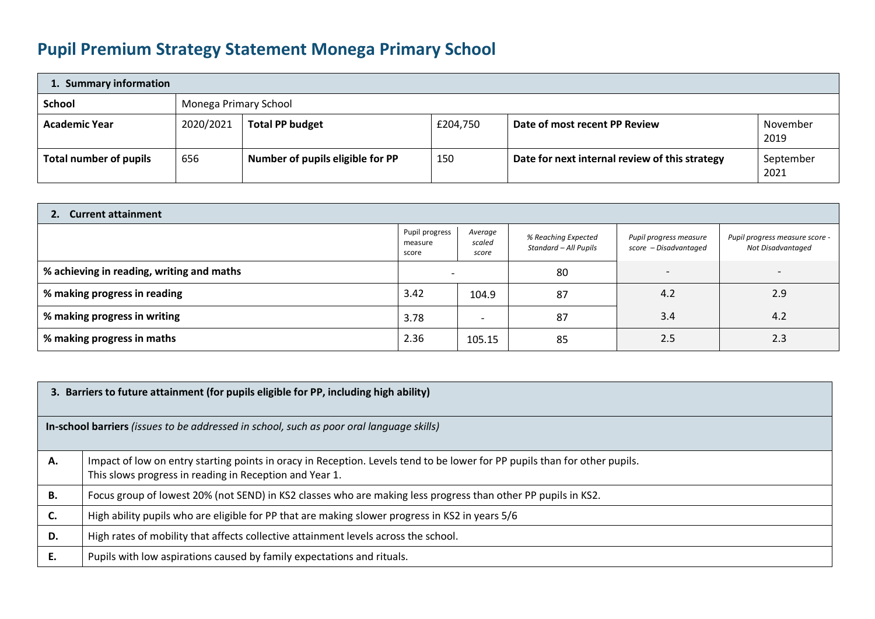## **Pupil Premium Strategy Statement Monega Primary School**

| 1. Summary information |                       |                                  |          |                                                |                   |  |  |
|------------------------|-----------------------|----------------------------------|----------|------------------------------------------------|-------------------|--|--|
| <b>School</b>          | Monega Primary School |                                  |          |                                                |                   |  |  |
| <b>Academic Year</b>   | 2020/2021             | <b>Total PP budget</b>           | £204,750 | Date of most recent PP Review                  | November<br>2019  |  |  |
| Total number of pupils | 656                   | Number of pupils eligible for PP | 150      | Date for next internal review of this strategy | September<br>2021 |  |  |

| 2. Current attainment                     |                                    |                            |                                              |                                                 |                                                     |  |  |
|-------------------------------------------|------------------------------------|----------------------------|----------------------------------------------|-------------------------------------------------|-----------------------------------------------------|--|--|
|                                           | Pupil progress<br>measure<br>score | Average<br>scaled<br>score | % Reaching Expected<br>Standard – All Pupils | Pupil progress measure<br>score – Disadvantaged | Pupil progress measure score -<br>Not Disadvantaged |  |  |
| % achieving in reading, writing and maths |                                    |                            | 80                                           |                                                 |                                                     |  |  |
| % making progress in reading              |                                    | 104.9                      | 87                                           | 4.2                                             | 2.9                                                 |  |  |
| % making progress in writing              |                                    | $\overline{\phantom{0}}$   | 87                                           | 3.4                                             | 4.2                                                 |  |  |
| % making progress in maths                | 2.36                               | 105.15                     | 85                                           | 2.5                                             | 2.3                                                 |  |  |

|           | 3. Barriers to future attainment (for pupils eligible for PP, including high ability)                                                                                                 |  |  |  |  |  |
|-----------|---------------------------------------------------------------------------------------------------------------------------------------------------------------------------------------|--|--|--|--|--|
|           | In-school barriers (issues to be addressed in school, such as poor oral language skills)                                                                                              |  |  |  |  |  |
| Α.        | Impact of low on entry starting points in oracy in Reception. Levels tend to be lower for PP pupils than for other pupils.<br>This slows progress in reading in Reception and Year 1. |  |  |  |  |  |
| <b>B.</b> | Focus group of lowest 20% (not SEND) in KS2 classes who are making less progress than other PP pupils in KS2.                                                                         |  |  |  |  |  |
| C.        | High ability pupils who are eligible for PP that are making slower progress in KS2 in years 5/6                                                                                       |  |  |  |  |  |
| D.        | High rates of mobility that affects collective attainment levels across the school.                                                                                                   |  |  |  |  |  |
| E.        | Pupils with low aspirations caused by family expectations and rituals.                                                                                                                |  |  |  |  |  |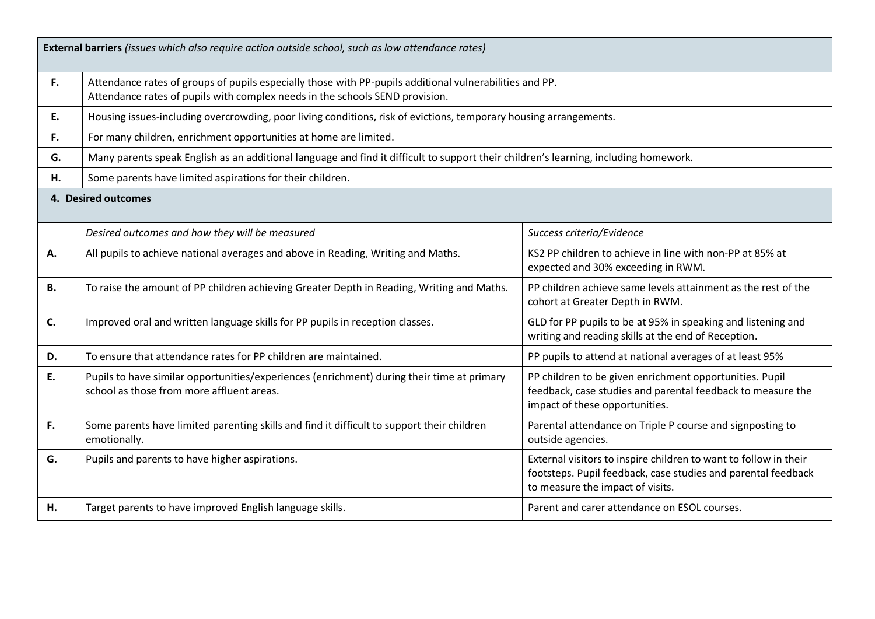|           | External barriers (issues which also require action outside school, such as low attendance rates)                                                                                       |                                                                                                                                                                       |  |  |  |
|-----------|-----------------------------------------------------------------------------------------------------------------------------------------------------------------------------------------|-----------------------------------------------------------------------------------------------------------------------------------------------------------------------|--|--|--|
| F.        | Attendance rates of groups of pupils especially those with PP-pupils additional vulnerabilities and PP.<br>Attendance rates of pupils with complex needs in the schools SEND provision. |                                                                                                                                                                       |  |  |  |
| E.        | Housing issues-including overcrowding, poor living conditions, risk of evictions, temporary housing arrangements.                                                                       |                                                                                                                                                                       |  |  |  |
| F.        | For many children, enrichment opportunities at home are limited.                                                                                                                        |                                                                                                                                                                       |  |  |  |
| G.        | Many parents speak English as an additional language and find it difficult to support their children's learning, including homework.                                                    |                                                                                                                                                                       |  |  |  |
| Н.        | Some parents have limited aspirations for their children.                                                                                                                               |                                                                                                                                                                       |  |  |  |
|           | 4. Desired outcomes                                                                                                                                                                     |                                                                                                                                                                       |  |  |  |
|           | Desired outcomes and how they will be measured                                                                                                                                          | Success criteria/Evidence                                                                                                                                             |  |  |  |
| Α.        | All pupils to achieve national averages and above in Reading, Writing and Maths.                                                                                                        | KS2 PP children to achieve in line with non-PP at 85% at<br>expected and 30% exceeding in RWM.                                                                        |  |  |  |
| <b>B.</b> | To raise the amount of PP children achieving Greater Depth in Reading, Writing and Maths.                                                                                               | PP children achieve same levels attainment as the rest of the<br>cohort at Greater Depth in RWM.                                                                      |  |  |  |
| C.        | Improved oral and written language skills for PP pupils in reception classes.                                                                                                           | GLD for PP pupils to be at 95% in speaking and listening and<br>writing and reading skills at the end of Reception.                                                   |  |  |  |
| D.        | To ensure that attendance rates for PP children are maintained.                                                                                                                         | PP pupils to attend at national averages of at least 95%                                                                                                              |  |  |  |
| E.        | Pupils to have similar opportunities/experiences (enrichment) during their time at primary<br>school as those from more affluent areas.                                                 | PP children to be given enrichment opportunities. Pupil<br>feedback, case studies and parental feedback to measure the<br>impact of these opportunities.              |  |  |  |
| F.        | Some parents have limited parenting skills and find it difficult to support their children<br>emotionally.                                                                              | Parental attendance on Triple P course and signposting to<br>outside agencies.                                                                                        |  |  |  |
| G.        | Pupils and parents to have higher aspirations.                                                                                                                                          | External visitors to inspire children to want to follow in their<br>footsteps. Pupil feedback, case studies and parental feedback<br>to measure the impact of visits. |  |  |  |
| Н.        | Target parents to have improved English language skills.                                                                                                                                | Parent and carer attendance on ESOL courses.                                                                                                                          |  |  |  |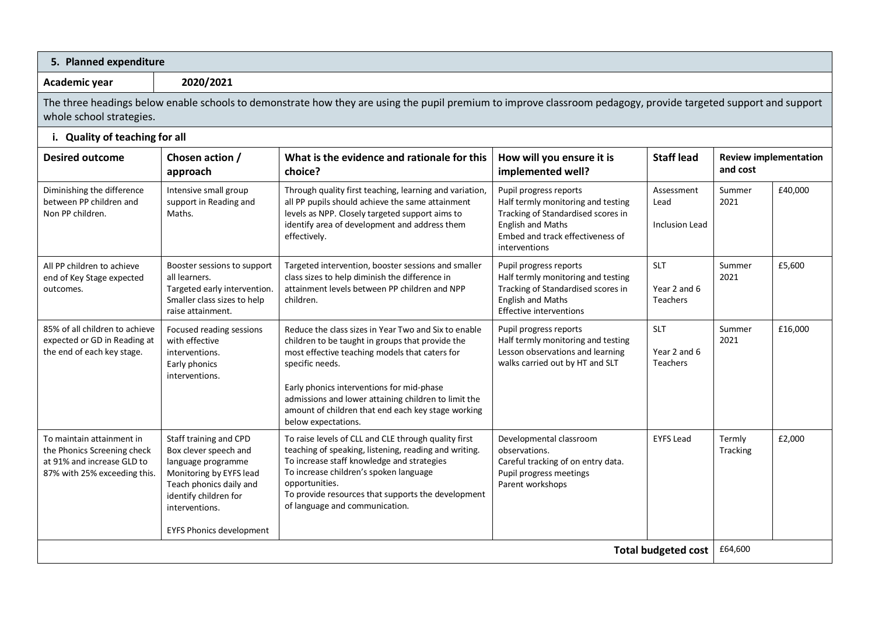| 5. Planned expenditure                                                                                                                                                                      |                                                                                                                                                                                                           |                                                                                                                                                                                                                                                                                                                                                                 |                                                                                                                                                                                     |                                        |                    |                              |  |
|---------------------------------------------------------------------------------------------------------------------------------------------------------------------------------------------|-----------------------------------------------------------------------------------------------------------------------------------------------------------------------------------------------------------|-----------------------------------------------------------------------------------------------------------------------------------------------------------------------------------------------------------------------------------------------------------------------------------------------------------------------------------------------------------------|-------------------------------------------------------------------------------------------------------------------------------------------------------------------------------------|----------------------------------------|--------------------|------------------------------|--|
| 2020/2021<br>Academic year                                                                                                                                                                  |                                                                                                                                                                                                           |                                                                                                                                                                                                                                                                                                                                                                 |                                                                                                                                                                                     |                                        |                    |                              |  |
| The three headings below enable schools to demonstrate how they are using the pupil premium to improve classroom pedagogy, provide targeted support and support<br>whole school strategies. |                                                                                                                                                                                                           |                                                                                                                                                                                                                                                                                                                                                                 |                                                                                                                                                                                     |                                        |                    |                              |  |
| i. Quality of teaching for all                                                                                                                                                              |                                                                                                                                                                                                           |                                                                                                                                                                                                                                                                                                                                                                 |                                                                                                                                                                                     |                                        |                    |                              |  |
| <b>Desired outcome</b>                                                                                                                                                                      | Chosen action /<br>What is the evidence and rationale for this<br>How will you ensure it is<br><b>Staff lead</b><br>and cost<br>implemented well?<br>approach<br>choice?                                  |                                                                                                                                                                                                                                                                                                                                                                 |                                                                                                                                                                                     |                                        |                    | <b>Review implementation</b> |  |
| Diminishing the difference<br>between PP children and<br>Non PP children.                                                                                                                   | Intensive small group<br>support in Reading and<br>Maths.                                                                                                                                                 | Through quality first teaching, learning and variation,<br>all PP pupils should achieve the same attainment<br>levels as NPP. Closely targeted support aims to<br>identify area of development and address them<br>effectively.                                                                                                                                 | Pupil progress reports<br>Half termly monitoring and testing<br>Tracking of Standardised scores in<br><b>English and Maths</b><br>Embed and track effectiveness of<br>interventions | Assessment<br>Lead<br>Inclusion Lead   | Summer<br>2021     | £40,000                      |  |
| All PP children to achieve<br>end of Key Stage expected<br>outcomes.                                                                                                                        | Booster sessions to support<br>all learners.<br>Targeted early intervention.<br>Smaller class sizes to help<br>raise attainment.                                                                          | Targeted intervention, booster sessions and smaller<br>class sizes to help diminish the difference in<br>attainment levels between PP children and NPP<br>children.                                                                                                                                                                                             | Pupil progress reports<br>Half termly monitoring and testing<br>Tracking of Standardised scores in<br><b>English and Maths</b><br><b>Effective interventions</b>                    | <b>SLT</b><br>Year 2 and 6<br>Teachers | Summer<br>2021     | £5,600                       |  |
| 85% of all children to achieve<br>expected or GD in Reading at<br>the end of each key stage.                                                                                                | Focused reading sessions<br>with effective<br>interventions.<br>Early phonics<br>interventions.                                                                                                           | Reduce the class sizes in Year Two and Six to enable<br>children to be taught in groups that provide the<br>most effective teaching models that caters for<br>specific needs.<br>Early phonics interventions for mid-phase<br>admissions and lower attaining children to limit the<br>amount of children that end each key stage working<br>below expectations. | Pupil progress reports<br>Half termly monitoring and testing<br>Lesson observations and learning<br>walks carried out by HT and SLT                                                 | <b>SLT</b><br>Year 2 and 6<br>Teachers | Summer<br>2021     | £16,000                      |  |
| To maintain attainment in<br>the Phonics Screening check<br>at 91% and increase GLD to<br>87% with 25% exceeding this.                                                                      | Staff training and CPD<br>Box clever speech and<br>language programme<br>Monitoring by EYFS lead<br>Teach phonics daily and<br>identify children for<br>interventions.<br><b>EYFS Phonics development</b> | To raise levels of CLL and CLE through quality first<br>teaching of speaking, listening, reading and writing.<br>To increase staff knowledge and strategies<br>To increase children's spoken language<br>opportunities.<br>To provide resources that supports the development<br>of language and communication.                                                 | Developmental classroom<br>observations.<br>Careful tracking of on entry data.<br>Pupil progress meetings<br>Parent workshops                                                       | <b>EYFS Lead</b>                       | Termly<br>Tracking | £2,000                       |  |
| <b>Total budgeted cost</b>                                                                                                                                                                  |                                                                                                                                                                                                           |                                                                                                                                                                                                                                                                                                                                                                 |                                                                                                                                                                                     |                                        | £64,600            |                              |  |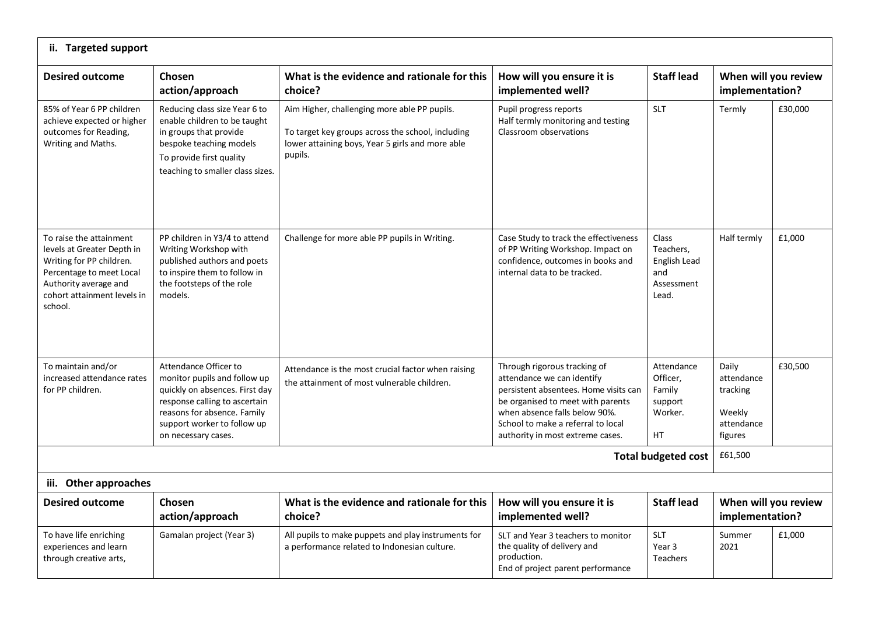| ii. Targeted support                                                                                                                                                             |                                                                                                                                                                                                               |                                                                                                                                                                  |                                                                                                                                                                                                                                                     |                                                                         |                                                                    |         |  |
|----------------------------------------------------------------------------------------------------------------------------------------------------------------------------------|---------------------------------------------------------------------------------------------------------------------------------------------------------------------------------------------------------------|------------------------------------------------------------------------------------------------------------------------------------------------------------------|-----------------------------------------------------------------------------------------------------------------------------------------------------------------------------------------------------------------------------------------------------|-------------------------------------------------------------------------|--------------------------------------------------------------------|---------|--|
| <b>Desired outcome</b>                                                                                                                                                           | Chosen<br>action/approach                                                                                                                                                                                     | What is the evidence and rationale for this<br>choice?                                                                                                           | How will you ensure it is<br>implemented well?                                                                                                                                                                                                      | <b>Staff lead</b>                                                       | When will you review<br>implementation?                            |         |  |
| 85% of Year 6 PP children<br>achieve expected or higher<br>outcomes for Reading,<br>Writing and Maths.                                                                           | Reducing class size Year 6 to<br>enable children to be taught<br>in groups that provide<br>bespoke teaching models<br>To provide first quality<br>teaching to smaller class sizes.                            | Aim Higher, challenging more able PP pupils.<br>To target key groups across the school, including<br>lower attaining boys, Year 5 girls and more able<br>pupils. | Pupil progress reports<br>Half termly monitoring and testing<br>Classroom observations                                                                                                                                                              | <b>SLT</b>                                                              | Termly                                                             | £30,000 |  |
| To raise the attainment<br>levels at Greater Depth in<br>Writing for PP children.<br>Percentage to meet Local<br>Authority average and<br>cohort attainment levels in<br>school. | PP children in Y3/4 to attend<br>Writing Workshop with<br>published authors and poets<br>to inspire them to follow in<br>the footsteps of the role<br>models.                                                 | Challenge for more able PP pupils in Writing.                                                                                                                    | Case Study to track the effectiveness<br>of PP Writing Workshop. Impact on<br>confidence, outcomes in books and<br>internal data to be tracked.                                                                                                     | <b>Class</b><br>Teachers,<br>English Lead<br>and<br>Assessment<br>Lead. | Half termly                                                        | £1,000  |  |
| To maintain and/or<br>increased attendance rates<br>for PP children.                                                                                                             | Attendance Officer to<br>monitor pupils and follow up<br>quickly on absences. First day<br>response calling to ascertain<br>reasons for absence. Family<br>support worker to follow up<br>on necessary cases. | Attendance is the most crucial factor when raising<br>the attainment of most vulnerable children.                                                                | Through rigorous tracking of<br>attendance we can identify<br>persistent absentees. Home visits can<br>be organised to meet with parents<br>when absence falls below 90%.<br>School to make a referral to local<br>authority in most extreme cases. | Attendance<br>Officer,<br>Family<br>support<br>Worker.<br><b>HT</b>     | Daily<br>attendance<br>tracking<br>Weekly<br>attendance<br>figures | £30,500 |  |
| <b>Total budgeted cost</b>                                                                                                                                                       |                                                                                                                                                                                                               |                                                                                                                                                                  |                                                                                                                                                                                                                                                     |                                                                         |                                                                    |         |  |
| iii. Other approaches                                                                                                                                                            |                                                                                                                                                                                                               |                                                                                                                                                                  |                                                                                                                                                                                                                                                     |                                                                         |                                                                    |         |  |
| <b>Desired outcome</b>                                                                                                                                                           | Chosen<br>action/approach                                                                                                                                                                                     | What is the evidence and rationale for this<br>choice?                                                                                                           | How will you ensure it is<br>implemented well?                                                                                                                                                                                                      | <b>Staff lead</b>                                                       | When will you review<br>implementation?                            |         |  |
| To have life enriching<br>experiences and learn<br>through creative arts,                                                                                                        | Gamalan project (Year 3)                                                                                                                                                                                      | All pupils to make puppets and play instruments for<br>a performance related to Indonesian culture.                                                              | SLT and Year 3 teachers to monitor<br>the quality of delivery and<br>production.<br>End of project parent performance                                                                                                                               | <b>SLT</b><br>Year <sub>3</sub><br><b>Teachers</b>                      | Summer<br>2021                                                     | £1,000  |  |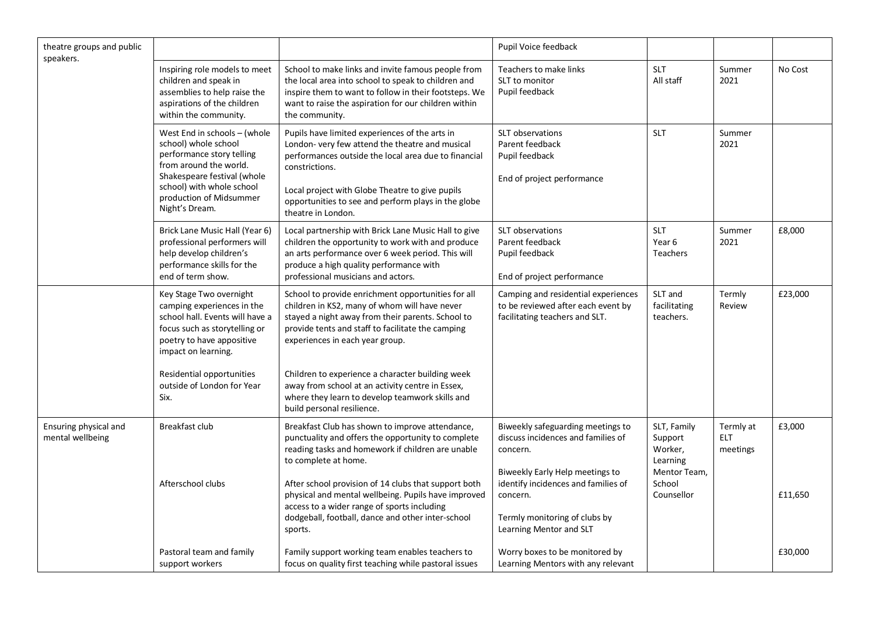| theatre groups and public<br>speakers.    |                                                                                                                                                                                                                      |                                                                                                                                                                                                                                                                                                            | Pupil Voice feedback                                                                                                                           |                                                    |                                     |         |
|-------------------------------------------|----------------------------------------------------------------------------------------------------------------------------------------------------------------------------------------------------------------------|------------------------------------------------------------------------------------------------------------------------------------------------------------------------------------------------------------------------------------------------------------------------------------------------------------|------------------------------------------------------------------------------------------------------------------------------------------------|----------------------------------------------------|-------------------------------------|---------|
|                                           | Inspiring role models to meet<br>children and speak in<br>assemblies to help raise the<br>aspirations of the children<br>within the community.                                                                       | School to make links and invite famous people from<br>the local area into school to speak to children and<br>inspire them to want to follow in their footsteps. We<br>want to raise the aspiration for our children within<br>the community.                                                               | Teachers to make links<br>SLT to monitor<br>Pupil feedback                                                                                     | <b>SLT</b><br>All staff                            | Summer<br>2021                      | No Cost |
|                                           | West End in schools - (whole<br>school) whole school<br>performance story telling<br>from around the world.<br>Shakespeare festival (whole<br>school) with whole school<br>production of Midsummer<br>Night's Dream. | Pupils have limited experiences of the arts in<br>London-very few attend the theatre and musical<br>performances outside the local area due to financial<br>constrictions.<br>Local project with Globe Theatre to give pupils<br>opportunities to see and perform plays in the globe<br>theatre in London. | SLT observations<br>Parent feedback<br>Pupil feedback<br>End of project performance                                                            | <b>SLT</b>                                         | Summer<br>2021                      |         |
|                                           | Brick Lane Music Hall (Year 6)<br>professional performers will<br>help develop children's<br>performance skills for the<br>end of term show.                                                                         | Local partnership with Brick Lane Music Hall to give<br>children the opportunity to work with and produce<br>an arts performance over 6 week period. This will<br>produce a high quality performance with<br>professional musicians and actors.                                                            | SLT observations<br>Parent feedback<br>Pupil feedback<br>End of project performance                                                            | <b>SLT</b><br>Year <sub>6</sub><br><b>Teachers</b> | Summer<br>2021                      | £8,000  |
|                                           | Key Stage Two overnight<br>camping experiences in the<br>school hall. Events will have a<br>focus such as storytelling or<br>poetry to have appositive<br>impact on learning.                                        | School to provide enrichment opportunities for all<br>children in KS2, many of whom will have never<br>stayed a night away from their parents. School to<br>provide tents and staff to facilitate the camping<br>experiences in each year group.                                                           | Camping and residential experiences<br>to be reviewed after each event by<br>facilitating teachers and SLT.                                    | SLT and<br>facilitating<br>teachers.               | Termly<br>Review                    | £23,000 |
|                                           | Residential opportunities<br>outside of London for Year<br>Six.                                                                                                                                                      | Children to experience a character building week<br>away from school at an activity centre in Essex,<br>where they learn to develop teamwork skills and<br>build personal resilience.                                                                                                                      |                                                                                                                                                |                                                    |                                     |         |
| Ensuring physical and<br>mental wellbeing | Breakfast club                                                                                                                                                                                                       | Breakfast Club has shown to improve attendance,<br>punctuality and offers the opportunity to complete<br>reading tasks and homework if children are unable<br>to complete at home.                                                                                                                         | Biweekly safeguarding meetings to<br>discuss incidences and families of<br>concern.                                                            | SLT, Family<br>Support<br>Worker,<br>Learning      | Termly at<br><b>ELT</b><br>meetings | £3,000  |
|                                           | Afterschool clubs                                                                                                                                                                                                    | After school provision of 14 clubs that support both<br>physical and mental wellbeing. Pupils have improved<br>access to a wider range of sports including<br>dodgeball, football, dance and other inter-school<br>sports.                                                                                 | Biweekly Early Help meetings to<br>identify incidences and families of<br>concern.<br>Termly monitoring of clubs by<br>Learning Mentor and SLT | Mentor Team,<br>School<br>Counsellor               |                                     | £11,650 |
|                                           | Pastoral team and family<br>support workers                                                                                                                                                                          | Family support working team enables teachers to<br>focus on quality first teaching while pastoral issues                                                                                                                                                                                                   | Worry boxes to be monitored by<br>Learning Mentors with any relevant                                                                           |                                                    |                                     | £30,000 |